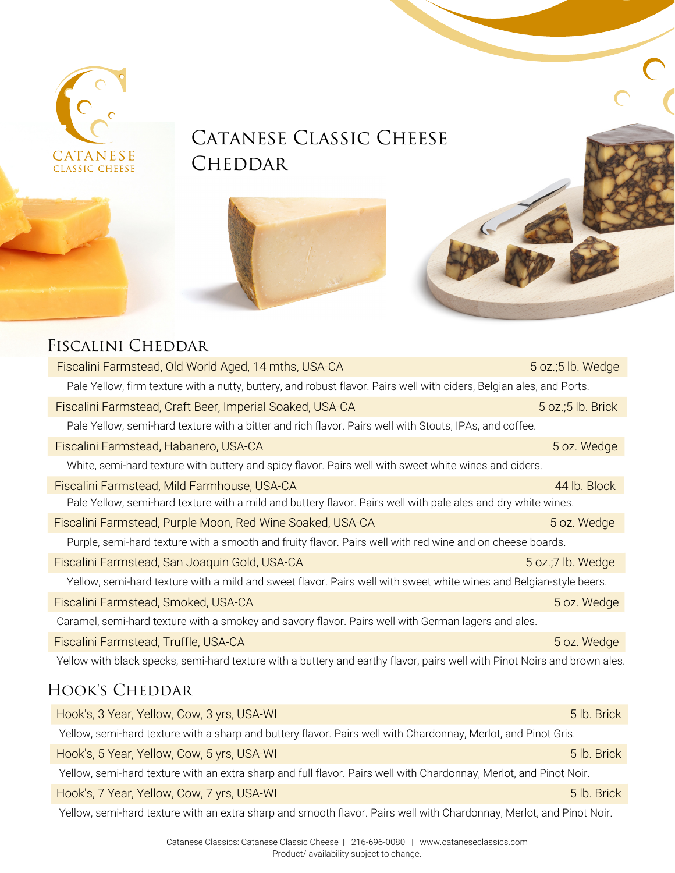

## CATANESE CLASSIC CHEESE **CHEDDAR**



#### Fiscalini Cheddar

| Fiscalini Farmstead, Old World Aged, 14 mths, USA-CA                                                                      | 5 oz.;5 lb. Wedge      |
|---------------------------------------------------------------------------------------------------------------------------|------------------------|
| Pale Yellow, firm texture with a nutty, buttery, and robust flavor. Pairs well with ciders, Belgian ales, and Ports.      |                        |
| Fiscalini Farmstead, Craft Beer, Imperial Soaked, USA-CA                                                                  | $5$ oz.; $5$ lb. Brick |
| Pale Yellow, semi-hard texture with a bitter and rich flavor. Pairs well with Stouts, IPAs, and coffee.                   |                        |
| Fiscalini Farmstead, Habanero, USA-CA                                                                                     | 5 oz. Wedge            |
| White, semi-hard texture with buttery and spicy flavor. Pairs well with sweet white wines and ciders.                     |                        |
| Fiscalini Farmstead, Mild Farmhouse, USA-CA                                                                               | 44 lb. Block           |
| Pale Yellow, semi-hard texture with a mild and buttery flavor. Pairs well with pale ales and dry white wines.             |                        |
| Fiscalini Farmstead, Purple Moon, Red Wine Soaked, USA-CA                                                                 | 5 oz. Wedge            |
| Purple, semi-hard texture with a smooth and fruity flavor. Pairs well with red wine and on cheese boards.                 |                        |
| Fiscalini Farmstead, San Joaquin Gold, USA-CA                                                                             | 5 oz.;7 lb. Wedge      |
| Yellow, semi-hard texture with a mild and sweet flavor. Pairs well with sweet white wines and Belgian-style beers.        |                        |
| Fiscalini Farmstead, Smoked, USA-CA                                                                                       | 5 oz. Wedge            |
| Caramel, semi-hard texture with a smokey and savory flavor. Pairs well with German lagers and ales.                       |                        |
| Fiscalini Farmstead, Truffle, USA-CA                                                                                      | 5 oz. Wedge            |
| Yellow with black specks, semi-hard texture with a buttery and earthy flavor, pairs well with Pinot Noirs and brown ales. |                        |
| HOOK'S CHEDDAR                                                                                                            |                        |
| Hook's, 3 Year, Yellow, Cow, 3 yrs, USA-WI                                                                                | 5 lb. Brick            |
| Yellow, semi-hard texture with a sharp and buttery flavor. Pairs well with Chardonnay, Merlot, and Pinot Gris.            |                        |

Hook's, 5 Year, Yellow, Cow, 5 yrs, USA-WI

Yellow, semi-hard texture with an extra sharp and full flavor. Pairs well with Chardonnay, Merlot, and Pinot Noir.

Hook's, 7 Year, Yellow, Cow, 7 yrs, USA-WI

Yellow, semi-hard texture with an extra sharp and smooth flavor. Pairs well with Chardonnay, Merlot, and Pinot Noir.

5 lb. Brick

5 lb. Brick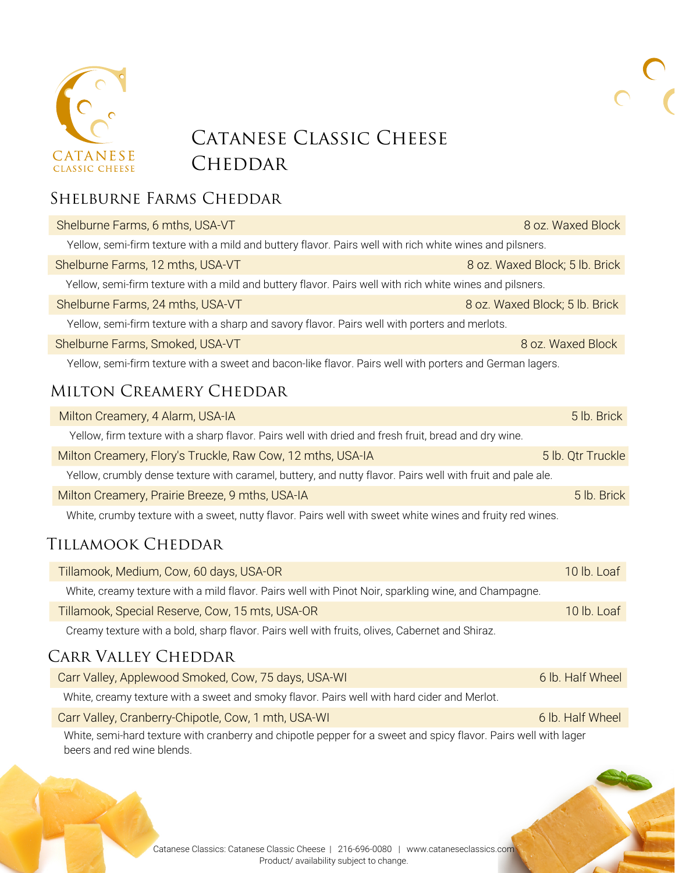

## CATANESE CLASSIC CHEESE **CHEDDAR**

#### Shelburne Farms Cheddar

| Shelburne Farms, 6 mths, USA-VT                                                                          | 8 oz. Waxed Block              |  |
|----------------------------------------------------------------------------------------------------------|--------------------------------|--|
| Yellow, semi-firm texture with a mild and buttery flavor. Pairs well with rich white wines and pilsners. |                                |  |
| Shelburne Farms, 12 mths, USA-VT                                                                         | 8 oz. Waxed Block; 5 lb. Brick |  |
| Yellow, semi-firm texture with a mild and buttery flavor. Pairs well with rich white wines and pilsners. |                                |  |
| Shelburne Farms, 24 mths, USA-VT                                                                         | 8 oz. Waxed Block; 5 lb. Brick |  |
| Yellow, semi-firm texture with a sharp and savory flavor. Pairs well with porters and merlots.           |                                |  |
| Shelburne Farms, Smoked, USA-VT                                                                          | 8 oz. Waxed Block              |  |
|                                                                                                          |                                |  |

Yellow, semi-firm texture with a sweet and bacon-like flavor. Pairs well with porters and German lagers.

#### Milton Creamery Cheddar

| Milton Creamery, 4 Alarm, USA-IA                                                                           | 5 lb. Brick       |
|------------------------------------------------------------------------------------------------------------|-------------------|
| Yellow, firm texture with a sharp flavor. Pairs well with dried and fresh fruit, bread and dry wine.       |                   |
| Milton Creamery, Flory's Truckle, Raw Cow, 12 mths, USA-IA                                                 | 5 lb. Qtr Truckle |
| Yellow, crumbly dense texture with caramel, buttery, and nutty flavor. Pairs well with fruit and pale ale. |                   |
| Milton Creamery, Prairie Breeze, 9 mths, USA-IA                                                            | 5 lb. Brick       |
| White, crumby texture with a sweet, nutty flavor. Pairs well with sweet white wines and fruity red wines.  |                   |

#### Tillamook Cheddar

| Tillamook, Medium, Cow, 60 days, USA-OR                                                              | 10 lb. Loaf      |
|------------------------------------------------------------------------------------------------------|------------------|
| White, creamy texture with a mild flavor. Pairs well with Pinot Noir, sparkling wine, and Champagne. |                  |
| Tillamook, Special Reserve, Cow, 15 mts, USA-OR                                                      | 10 lb. Loaf      |
| Creamy texture with a bold, sharp flavor. Pairs well with fruits, olives, Cabernet and Shiraz.       |                  |
| CARR VALLEY CHEDDAR                                                                                  |                  |
| Carr Valley, Applewood Smoked, Cow, 75 days, USA-WI                                                  | 6 lb. Half Wheel |

| <u>Udit valicy, Applewood Ulflorca, OOW, 70 days, OOA WI</u>                                                    | <u>UID. HUIL IILUL</u> |
|-----------------------------------------------------------------------------------------------------------------|------------------------|
| White, creamy texture with a sweet and smoky flavor. Pairs well with hard cider and Merlot.                     |                        |
| Carr Valley, Cranberry-Chipotle, Cow, 1 mth, USA-WI                                                             | 6 lb. Half Wheel       |
| White, semi-hard texture with cranberry and chipotle pepper for a sweet and spicy flavor. Pairs well with lager |                        |
| beers and red wine blends.                                                                                      |                        |